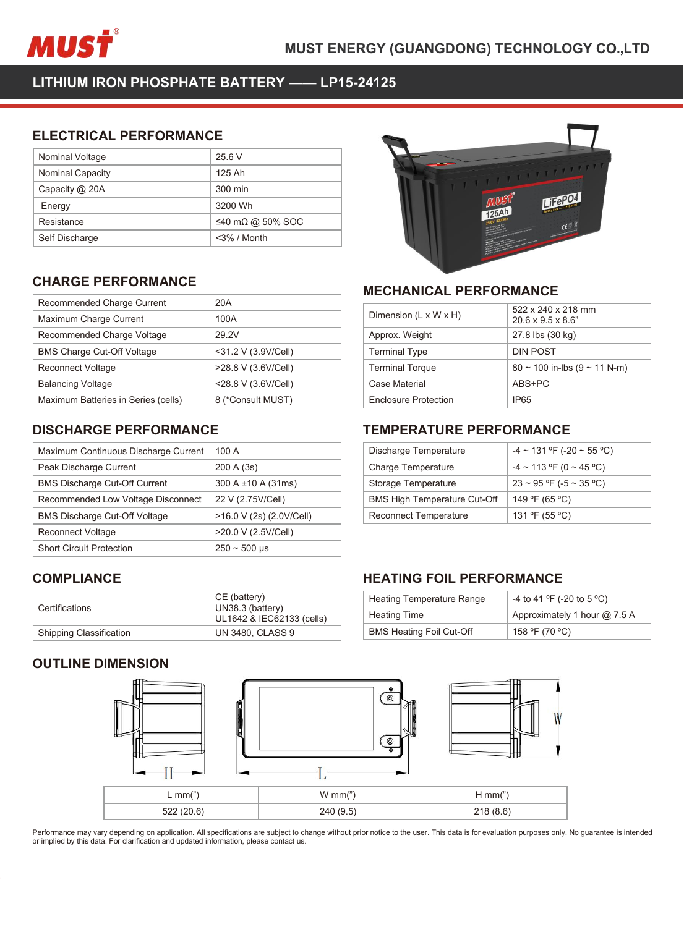

| MUSŤ                                             |                  | <b>MUST ENERGY (GUAN</b> |
|--------------------------------------------------|------------------|--------------------------|
| LITHIUM IRON PHOSPHATE BATTERY -- LP15-24125     |                  |                          |
| <b>ELECTRICAL PERFORMANCE</b><br>Nominal Voltage | 25.6 V           |                          |
| Nominal Capacity                                 | 125 Ah           |                          |
| Capacity @ 20A                                   | 300 min          |                          |
| Energy                                           | 3200 Wh          |                          |
| Resistance                                       | ≤40 mΩ @ 50% SOC |                          |
| Self Discharge                                   | $<$ 3% / Month   |                          |
| <b>CHARGE PERFORMANCE</b>                        |                  | <b>MECHANIO</b>          |
| Recommended Charge Current                       | 20A              |                          |
|                                                  | 100A             | Dimension (L x           |
| Maximum Charge Current                           |                  |                          |
| Recommended Charge Voltage                       | 29.2V            | Approx. Weigh            |

| Capacity @ 20A                                                             | 300 min             |                |
|----------------------------------------------------------------------------|---------------------|----------------|
| Energy                                                                     | 3200 Wh             |                |
| Resistance                                                                 | ≤40 mΩ @ 50% SOC    |                |
| Self Discharge                                                             | $<$ 3% / Month      |                |
|                                                                            |                     |                |
| <b>CHARGE PERFORMANCE</b>                                                  |                     | <b>MECH</b>    |
| Recommended Charge Current                                                 | 20A                 |                |
| Maximum Charge Current                                                     | 100A                | Dimensi        |
| Recommended Charge Voltage                                                 | 29.2V               | Approx.        |
| <b>BMS Charge Cut-Off Voltage</b>                                          | <31.2 V (3.9V/Cell) | Termina        |
| Reconnect Voltage                                                          | >28.8 V (3.6V/Cell) | Termina        |
| <b>Balancing Voltage</b>                                                   | <28.8 V (3.6V/Cell) | Case Ma        |
| Maximum Batteries in Series (cells)                                        | 8 (*Consult MUST)   | Enclosu        |
| <b>DISCHARGE PERFORMANCE</b>                                               |                     | <b>TEMPI</b>   |
|                                                                            |                     |                |
| Maximum Continuous Discharge Current                                       | 100 A               | Dischar        |
| Peak Discharge Current                                                     | 200 A (3s)          | Charge         |
| <b>BMS Discharge Cut-Off Current</b>                                       | 300 A ±10 A (31ms)  | Storage        |
| Recommended Low Voltage Disconnect                                         | 22 V (2.75V/Cell)   | <b>BMS Hie</b> |
| $\mathbb{R}^{110}$ $\mathbb{R}^{11}$ $\mathbb{R}^{100}$ $\mathbb{R}^{100}$ | 10.011(0.10011001)  | $\sim$         |

| <b>BMS Charge Cut-Off Voltage</b>    | <31.2 V (3.9V/Cell)                                           | <b>Terminal Type</b>                          |
|--------------------------------------|---------------------------------------------------------------|-----------------------------------------------|
| <b>Reconnect Voltage</b>             | >28.8 V (3.6V/Cell)                                           | <b>Terminal Torque</b>                        |
| <b>Balancing Voltage</b>             | <28.8 V (3.6V/Cell)                                           | Case Material                                 |
| Maximum Batteries in Series (cells)  | 8 (*Consult MUST)                                             | <b>Enclosure Protect</b>                      |
| <b>DISCHARGE PERFORMANCE</b>         |                                                               | TEMPERATL                                     |
| Maximum Continuous Discharge Current | 100 A                                                         | Discharge Tempe                               |
| Peak Discharge Current               | 200 A (3s)                                                    | <b>Charge Temperat</b>                        |
| <b>BMS Discharge Cut-Off Current</b> | 300 A ±10 A (31ms)                                            | Storage Tempera                               |
| Recommended Low Voltage Disconnect   | 22 V (2.75V/Cell)                                             | <b>BMS High Tempe</b>                         |
| <b>BMS Discharge Cut-Off Voltage</b> | >16.0 V (2s) (2.0V/Cell)                                      | Reconnect Temp                                |
| <b>Reconnect Voltage</b>             | >20.0 V (2.5V/Cell)                                           |                                               |
| <b>Short Circuit Protection</b>      | $250 - 500$ µs                                                |                                               |
| <b>COMPLIANCE</b>                    |                                                               | <b>HEATING FC</b>                             |
| Certifications                       | CE (battery)<br>UN38.3 (battery)<br>UL1642 & IEC62133 (cells) | <b>Heating Tempera</b><br><b>Heating Time</b> |
| Shipping Classification              | <b>UN 3480, CLASS 9</b>                                       | <b>BMS Heating Foil</b>                       |
| <b>OUTLINE DIMENSION</b>             |                                                               | $\Theta$<br>$\odot$                           |

# **COMPLIANCE**

| Certifications                 | CE (battery)<br>UN38.3 (battery)<br>UL1642 & IEC62133 (cells) |
|--------------------------------|---------------------------------------------------------------|
| <b>Shipping Classification</b> | <b>UN 3480, CLASS 9</b>                                       |





| МШЭ                                 | i iFeru                                 |
|-------------------------------------|-----------------------------------------|
| <b>MECHANICAL PERFORMANCE</b>       |                                         |
| Dimension (L x W x H)               | 522 x 240 x 218 mm<br>20.6 x 9.5 x 8.6" |
| Approx. Weight                      | 27.8 lbs (30 kg)                        |
| <b>Terminal Type</b>                | <b>DIN POST</b>                         |
| <b>Terminal Torque</b>              | $80 \sim 100$ in-lbs $(9 \sim 11$ N-m)  |
| Case Material                       | ABS+PC                                  |
| <b>Enclosure Protection</b>         | IP <sub>65</sub>                        |
| <b>TEMPERATURE PERFORMANCE</b>      |                                         |
| Discharge Temperature               | $-4 \sim 131$ °F (-20 ~ 55 °C)          |
| <b>Charge Temperature</b>           | $-4 \sim 113$ °F (0 ~ 45 °C)            |
| Storage Temperature                 | $23 \sim 95$ °F (-5 ~ 35 °C)            |
| <b>BMS High Temperature Cut-Off</b> | 149 °F (65 °C)                          |
|                                     |                                         |

| <b>Terminal Torque</b>              |                                   |
|-------------------------------------|-----------------------------------|
|                                     | $80 \sim 100$ in-lbs (9 ~ 11 N-m) |
| <b>Case Material</b>                | ABS+PC                            |
| <b>Enclosure Protection</b>         | IP <sub>65</sub>                  |
|                                     |                                   |
| <b>TEMPERATURE PERFORMANCE</b>      |                                   |
| Discharge Temperature               | $-4 \sim 131$ °F (-20 ~ 55 °C)    |
| <b>Charge Temperature</b>           | $-4 \sim 113$ °F (0 ~ 45 °C)      |
| Storage Temperature                 | $23 \sim 95$ °F (-5 ~ 35 °C)      |
| <b>BMS High Temperature Cut-Off</b> | 149 °F (65 °C)                    |
| <b>Reconnect Temperature</b>        | 131 ºF (55 °C)                    |

| Storage Temperature                 | $23 \sim 95$ °F (-5 ~ 35 °C) |
|-------------------------------------|------------------------------|
| <b>BMS High Temperature Cut-Off</b> | 149 °F (65 °C)               |
| <b>Reconnect Temperature</b>        | 131 ºF (55 °C)               |
|                                     |                              |
| <b>HEATING FOIL PERFORMANCE</b>     |                              |
| <b>Heating Temperature Range</b>    | -4 to 41 °F (-20 to 5 °C)    |
| <b>Heating Time</b>                 | Approximately 1 hour @ 7.5 A |